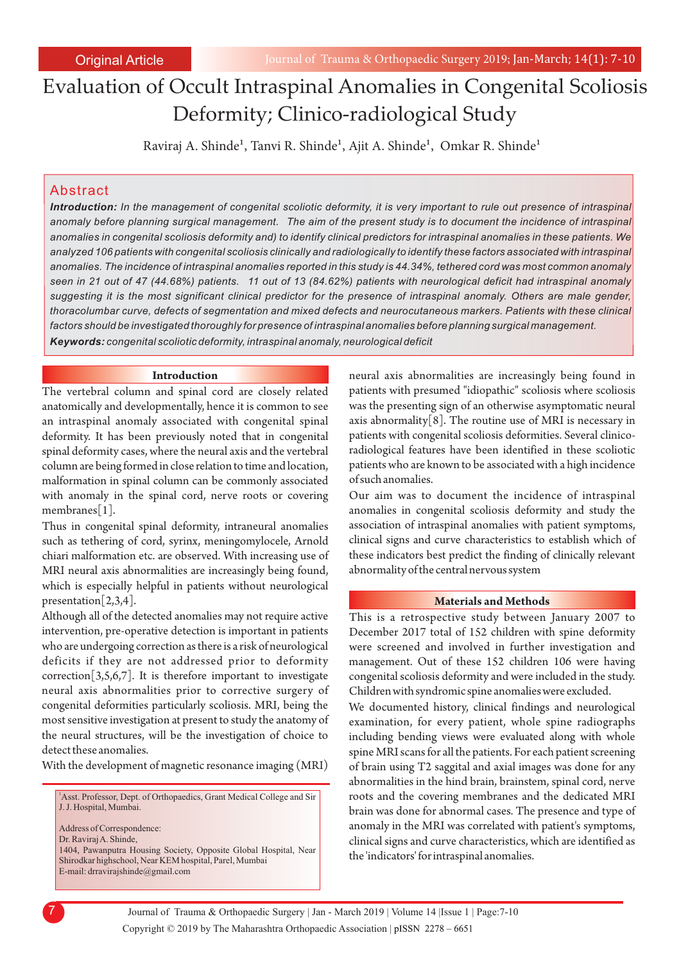# Evaluation of Occult Intraspinal Anomalies in Congenital Scoliosis Deformity; Clinico-radiological Study

Raviraj A. Shinde<sup>1</sup>, Tanvi R. Shinde<sup>1</sup>, Ajit A. Shinde<sup>1</sup>, Omkar R. Shinde<sup>1</sup>

## Abstract

*Introduction: In the management of congenital scoliotic deformity, it is very important to rule out presence of intraspinal anomaly before planning surgical management. The aim of the present study is to document the incidence of intraspinal anomalies in congenital scoliosis deformity and) to identify clinical predictors for intraspinal anomalies in these patients. We analyzed 106 patients with congenital scoliosis clinically and radiologically to identify these factors associated with intraspinal anomalies. The incidence of intraspinal anomalies reported in this study is 44.34%, tethered cord was most common anomaly seen in 21 out of 47 (44.68%) patients. 11 out of 13 (84.62%) patients with neurological deficit had intraspinal anomaly suggesting it is the most significant clinical predictor for the presence of intraspinal anomaly. Others are male gender, thoracolumbar curve, defects of segmentation and mixed defects and neurocutaneous markers. Patients with these clinical factors should be investigated thoroughly for presence of intraspinal anomalies before planning surgical management. Keywords: congenital scoliotic deformity, intraspinal anomaly, neurological deficit*

### **Introduction**

The vertebral column and spinal cord are closely related anatomically and developmentally, hence it is common to see an intraspinal anomaly associated with congenital spinal deformity. It has been previously noted that in congenital spinal deformity cases, where the neural axis and the vertebral column are being formed in close relation to time and location, malformation in spinal column can be commonly associated with anomaly in the spinal cord, nerve roots or covering membranes[1].

Thus in congenital spinal deformity, intraneural anomalies such as tethering of cord, syrinx, meningomylocele, Arnold chiari malformation etc. are observed. With increasing use of MRI neural axis abnormalities are increasingly being found, which is especially helpful in patients without neurological presentation[2,3,4].

Although all of the detected anomalies may not require active intervention, pre-operative detection is important in patients who are undergoing correction as there is a risk of neurological deficits if they are not addressed prior to deformity correction $[3,5,6,7]$ . It is therefore important to investigate neural axis abnormalities prior to corrective surgery of congenital deformities particularly scoliosis. MRI, being the most sensitive investigation at present to study the anatomy of the neural structures, will be the investigation of choice to detect these anomalies.

With the development of magnetic resonance imaging (MRI)

Address of Correspondence: <sup>1</sup>Asst. Professor, Dept. of Orthopaedics, Grant Medical College and Sir J. J. Hospital, Mumbai.

1404, Pawanputra Housing Society, Opposite Global Hospital, Near Shirodkar highschool, Near KEM hospital, Parel, Mumbai Dr. Raviraj A. Shinde, E-mail: drravirajshinde@gmail.com

neural axis abnormalities are increasingly being found in patients with presumed "idiopathic" scoliosis where scoliosis was the presenting sign of an otherwise asymptomatic neural axis abnormality[8]. The routine use of MRI is necessary in patients with congenital scoliosis deformities. Several clinicoradiological features have been identified in these scoliotic patients who are known to be associated with a high incidence of such anomalies.

Our aim was to document the incidence of intraspinal anomalies in congenital scoliosis deformity and study the association of intraspinal anomalies with patient symptoms, clinical signs and curve characteristics to establish which of these indicators best predict the finding of clinically relevant abnormality of the central nervous system

#### **Materials and Methods**

This is a retrospective study between January 2007 to December 2017 total of 152 children with spine deformity were screened and involved in further investigation and management. Out of these 152 children 106 were having congenital scoliosis deformity and were included in the study. Children with syndromic spine anomalies were excluded.

We documented history, clinical findings and neurological examination, for every patient, whole spine radiographs including bending views were evaluated along with whole spine MRI scans for all the patients. For each patient screening of brain using T2 saggital and axial images was done for any abnormalities in the hind brain, brainstem, spinal cord, nerve roots and the covering membranes and the dedicated MRI brain was done for abnormal cases. The presence and type of anomaly in the MRI was correlated with patient's symptoms, clinical signs and curve characteristics, which are identified as the 'indicators' for intraspinal anomalies.

Copyright © 2019 by The Maharashtra Orthopaedic Association | 7 Journal of Trauma & Orthopaedic Surgery | Jan - March 2019 | Volume 14 |Issue 1 | Page:7-10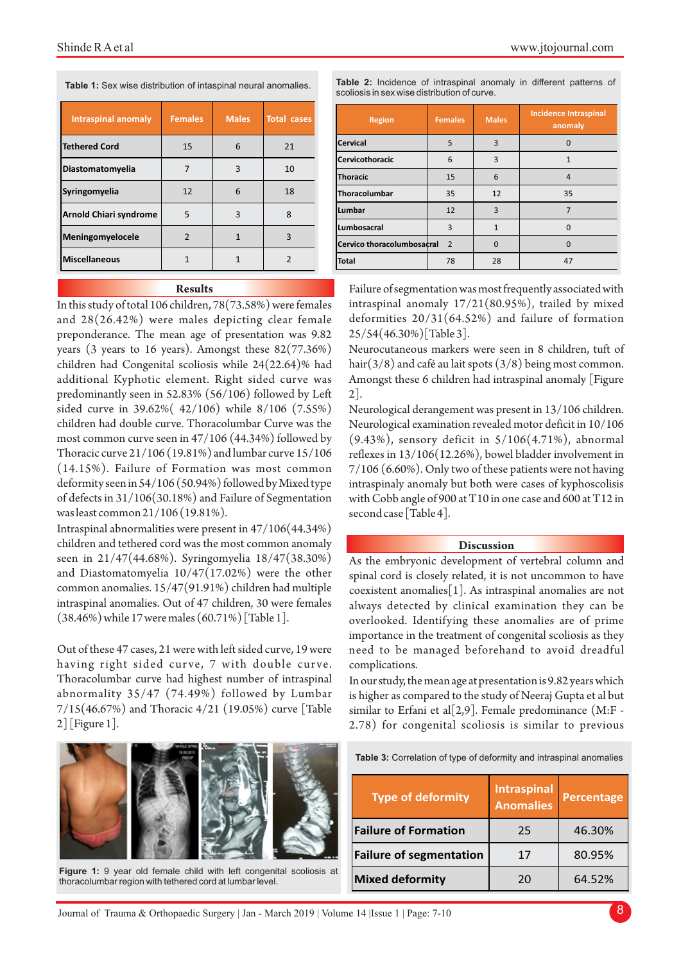**Table 1:** Sex wise distribution of intaspinal neural anomalies.

| Intraspinal anomaly           | <b>Females</b> | <b>Males</b> | <b>Total cases</b> |
|-------------------------------|----------------|--------------|--------------------|
| <b>Tethered Cord</b>          | 15             | 6            | 21                 |
| Diastomatomyelia              |                | 3            | 10                 |
| Syringomyelia                 | 12             | 6            | 18                 |
| <b>Arnold Chiari syndrome</b> | 5              | 3            | 8                  |
| Meningomyelocele              | $\mathcal{P}$  |              | ς                  |
| <b>Miscellaneous</b>          |                |              |                    |

#### **Results**

In this study of total 106 children, 78(73.58%) were females and 28(26.42%) were males depicting clear female preponderance. The mean age of presentation was 9.82 years (3 years to 16 years). Amongst these  $82(77.36%)$ children had Congenital scoliosis while 24(22.64)% had additional Kyphotic element. Right sided curve was predominantly seen in 52.83% (56/106) followed by Left sided curve in 39.62%( 42/106) while 8/106 (7.55%) children had double curve. Thoracolumbar Curve was the most common curve seen in 47/106 (44.34%) followed by Thoracic curve 21/106 (19.81%) and lumbar curve 15/106 (14.15%). Failure of Formation was most common deformity seen in 54/106 (50.94%) followed by Mixed type of defects in 31/106(30.18%) and Failure of Segmentation was least common 21/106 (19.81%).

Intraspinal abnormalities were present in 47/106(44.34%) children and tethered cord was the most common anomaly seen in 21/47(44.68%). Syringomyelia 18/47(38.30%) and Diastomatomyelia 10/47(17.02%) were the other common anomalies. 15/47(91.91%) children had multiple intraspinal anomalies. Out of 47 children, 30 were females (38.46%) while 17 were males (60.71%) [Table 1].

Out of these 47 cases, 21 were with left sided curve, 19 were having right sided curve, 7 with double curve. Thoracolumbar curve had highest number of intraspinal abnormality 35/47 (74.49%) followed by Lumbar 7/15(46.67%) and Thoracic 4/21 (19.05%) curve [Table 2] [Figure 1].



**Figure 1:** 9 year old female child with left congenital scoliosis at thoracolumbar region with tethered cord at lumbar level.

|  |  | <b>Table 2:</b> Incidence of intraspinal anomaly in different patterns of |  |  |  |
|--|--|---------------------------------------------------------------------------|--|--|--|
|  |  | scoliosis in sex wise distribution of curve.                              |  |  |  |

| <b>Region</b>              | <b>Females</b> | <b>Males</b> | <b>Incidence Intraspinal</b><br>anomaly |
|----------------------------|----------------|--------------|-----------------------------------------|
| <b>Cervical</b>            | 5              | 3            | $\Omega$                                |
| <b>Cervicothoracic</b>     | 6              | 3            | 1                                       |
| <b>Thoracic</b>            | 15             | 6            | 4                                       |
| Thoracolumbar              | 35             | 12           | 35                                      |
| Lumbar                     | 12             | 3            |                                         |
| Lumbosacral                | 3              | $\mathbf{1}$ | O                                       |
| Cervico thoracolumbosacral | $\overline{2}$ | $\Omega$     |                                         |
| <b>Total</b>               | 78             | 28           | 47                                      |

Failure of segmentation was most frequently associated with intraspinal anomaly 17/21(80.95%), trailed by mixed deformities 20/31(64.52%) and failure of formation 25/54(46.30%)[Table 3].

Neurocutaneous markers were seen in 8 children, tuft of hair(3/8) and café au lait spots (3/8) being most common. Amongst these 6 children had intraspinal anomaly [Figure 2].

Neurological derangement was present in 13/106 children. Neurological examination revealed motor deficit in 10/106 (9.43%), sensory deficit in 5/106(4.71%), abnormal reflexes in 13/106(12.26%), bowel bladder involvement in 7/106 (6.60%). Only two of these patients were not having intraspinaly anomaly but both were cases of kyphoscolisis with Cobb angle of 900 at T10 in one case and 600 at T12 in second case [Table 4].

#### **Discussion**

As the embryonic development of vertebral column and spinal cord is closely related, it is not uncommon to have coexistent anomalies[1]. As intraspinal anomalies are not always detected by clinical examination they can be overlooked. Identifying these anomalies are of prime importance in the treatment of congenital scoliosis as they need to be managed beforehand to avoid dreadful complications.

In our study, the mean age at presentation is 9.82 years which is higher as compared to the study of Neeraj Gupta et al but similar to Erfani et al $[2,9]$ . Female predominance (M:F -2.78) for congenital scoliosis is similar to previous

| Table 3: Correlation of type of deformity and intraspinal anomalies |  |  |  |
|---------------------------------------------------------------------|--|--|--|
|---------------------------------------------------------------------|--|--|--|

| Type of deformity              | <b>Intraspinal</b><br><b>Anomalies</b> | Percentage |  |
|--------------------------------|----------------------------------------|------------|--|
| <b>Failure of Formation</b>    | 25                                     | 46.30%     |  |
| <b>Failure of segmentation</b> | 17                                     | 80.95%     |  |
| <b>Mixed deformity</b>         | 20                                     | 64.52%     |  |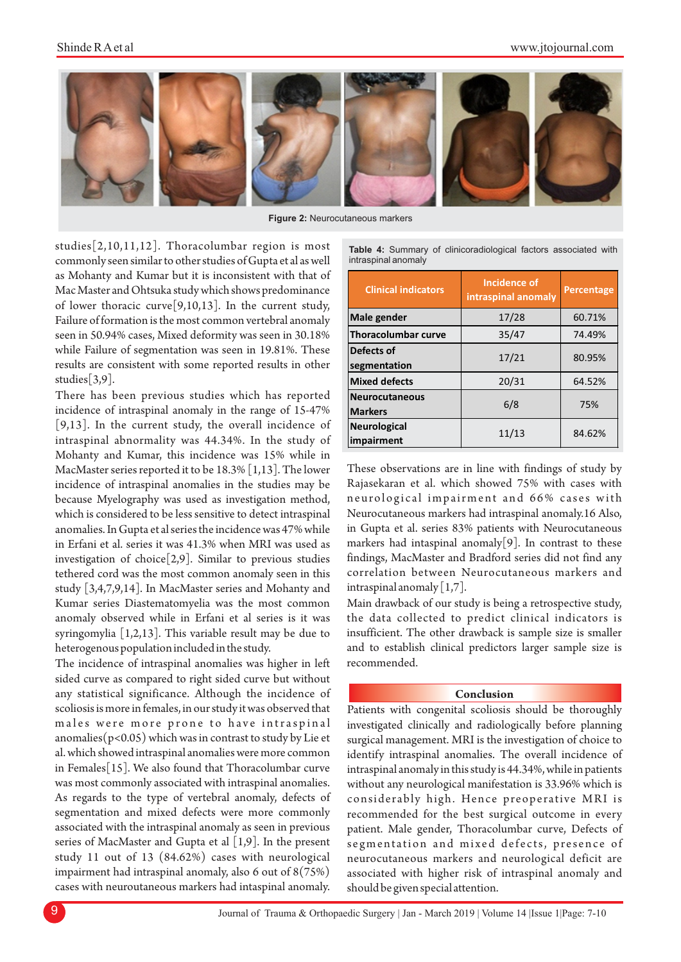

**Figure 2:** Neurocutaneous markers

studies[2,10,11,12]. Thoracolumbar region is most commonly seen similar to other studies of Gupta et al as well as Mohanty and Kumar but it is inconsistent with that of Mac Master and Ohtsuka study which shows predominance of lower thoracic curve[9,10,13]. In the current study, Failure of formation is the most common vertebral anomaly seen in 50.94% cases, Mixed deformity was seen in 30.18% while Failure of segmentation was seen in 19.81%. These results are consistent with some reported results in other studies[3,9].

There has been previous studies which has reported incidence of intraspinal anomaly in the range of 15-47% [9,13]. In the current study, the overall incidence of intraspinal abnormality was 44.34%. In the study of Mohanty and Kumar, this incidence was 15% while in MacMaster series reported it to be 18.3% [1,13]. The lower incidence of intraspinal anomalies in the studies may be because Myelography was used as investigation method, which is considered to be less sensitive to detect intraspinal anomalies. In Gupta et al series the incidence was 47% while in Erfani et al. series it was 41.3% when MRI was used as investigation of choice[2,9]. Similar to previous studies tethered cord was the most common anomaly seen in this study [3,4,7,9,14]. In MacMaster series and Mohanty and Kumar series Diastematomyelia was the most common anomaly observed while in Erfani et al series is it was syringomylia [1,2,13]. This variable result may be due to heterogenous population included in the study.

The incidence of intraspinal anomalies was higher in left sided curve as compared to right sided curve but without any statistical significance. Although the incidence of scoliosis is more in females, in our study it was observed that males were more prone to have intraspinal anomalies( $p$ <0.05) which was in contrast to study by Lie et al. which showed intraspinal anomalies were more common in Females[15]. We also found that Thoracolumbar curve was most commonly associated with intraspinal anomalies. As regards to the type of vertebral anomaly, defects of segmentation and mixed defects were more commonly associated with the intraspinal anomaly as seen in previous series of MacMaster and Gupta et al  $[1,9]$ . In the present study 11 out of 13 (84.62%) cases with neurological impairment had intraspinal anomaly, also 6 out of 8(75%) cases with neuroutaneous markers had intaspinal anomaly.

**Table 4:** Summary of clinicoradiological factors associated with intraspinal anomaly

| <b>Clinical indicators</b>              | <b>Incidence of</b><br>intraspinal anomaly | <b>Percentage</b> |  |
|-----------------------------------------|--------------------------------------------|-------------------|--|
| Male gender                             | 17/28                                      | 60.71%            |  |
| <b>Thoracolumbar curve</b>              | 35/47                                      | 74.49%            |  |
| Defects of<br>segmentation              | 17/21                                      | 80.95%            |  |
| <b>Mixed defects</b>                    | 20/31                                      | 64.52%            |  |
| <b>Neurocutaneous</b><br><b>Markers</b> | 6/8                                        | 75%               |  |
| <b>Neurological</b><br>impairment       | 11/13                                      | 84.62%            |  |

These observations are in line with findings of study by Rajasekaran et al. which showed 75% with cases with neurological impairment and 66% cases with Neurocutaneous markers had intraspinal anomaly.16 Also, in Gupta et al. series 83% patients with Neurocutaneous markers had intaspinal anomaly[9]. In contrast to these findings, MacMaster and Bradford series did not find any correlation between Neurocutaneous markers and intraspinal anomaly  $[1,7]$ .

Main drawback of our study is being a retrospective study, the data collected to predict clinical indicators is insufficient. The other drawback is sample size is smaller and to establish clinical predictors larger sample size is recommended.

#### **Conclusion**

Patients with congenital scoliosis should be thoroughly investigated clinically and radiologically before planning surgical management. MRI is the investigation of choice to identify intraspinal anomalies. The overall incidence of intraspinal anomaly in this study is 44.34%, while in patients without any neurological manifestation is 33.96% which is considerably high. Hence preoperative MRI is recommended for the best surgical outcome in every patient. Male gender, Thoracolumbar curve, Defects of segmentation and mixed defects, presence of neurocutaneous markers and neurological deficit are associated with higher risk of intraspinal anomaly and should be given special attention.